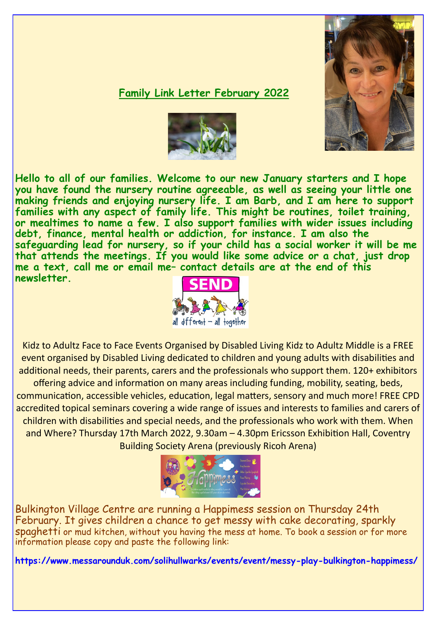## **Family Link Letter February 2022**



**Hello to all of our families. Welcome to our new January starters and I hope you have found the nursery routine agreeable, as well as seeing your little one making friends and enjoying nursery life. I am Barb, and I am here to support families with any aspect of family life. This might be routines, toilet training, or mealtimes to name a few. I also support families with wider issues including debt, finance, mental health or addiction, for instance. I am also the safeguarding lead for nursery, so if your child has a social worker it will be me that attends the meetings. If you would like some advice or a chat, just drop me a text, call me or email me– contact details are at the end of this newsletter.** 



Kidz to Adultz Face to Face Events Organised by Disabled Living Kidz to Adultz Middle is a FREE event organised by Disabled Living dedicated to children and young adults with disabilities and additional needs, their parents, carers and the professionals who support them. 120+ exhibitors

offering advice and information on many areas including funding, mobility, seating, beds, communication, accessible vehicles, education, legal matters, sensory and much more! FREE CPD accredited topical seminars covering a wide range of issues and interests to families and carers of children with disabilities and special needs, and the professionals who work with them. When and Where? Thursday 17th March 2022, 9.30am – 4.30pm Ericsson Exhibition Hall, Coventry Building Society Arena (previously Ricoh Arena)



Bulkington Village Centre are running a Happimess session on Thursday 24th February. It gives children a chance to get messy with cake decorating, sparkly spaghetti or mud kitchen, without you having the mess at home. To book a session or for more information please copy and paste the following link:

**https://www.messarounduk.com/solihullwarks/events/event/messy-play-bulkington-happimess/**